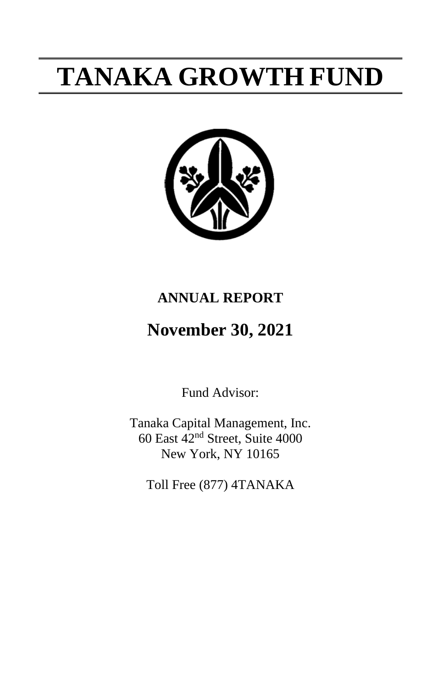

# **ANNUAL REPORT**

# **November 30, 2021**

Fund Advisor:

Tanaka Capital Management, Inc. 60 East 42nd Street, Suite 4000 New York, NY 10165

Toll Free (877) 4TANAKA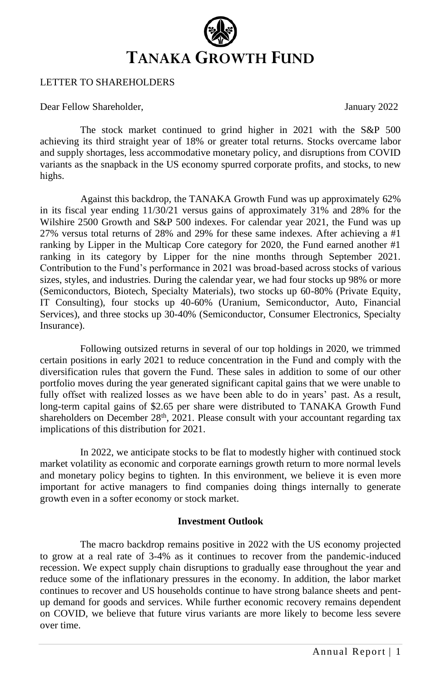

#### LETTER TO SHAREHOLDERS

#### Dear Fellow Shareholder, January 2022

The stock market continued to grind higher in 2021 with the S&P 500 achieving its third straight year of 18% or greater total returns. Stocks overcame labor and supply shortages, less accommodative monetary policy, and disruptions from COVID variants as the snapback in the US economy spurred corporate profits, and stocks, to new highs.

Against this backdrop, the TANAKA Growth Fund was up approximately 62% in its fiscal year ending 11/30/21 versus gains of approximately 31% and 28% for the Wilshire 2500 Growth and S&P 500 indexes. For calendar year 2021, the Fund was up 27% versus total returns of 28% and 29% for these same indexes. After achieving a #1 ranking by Lipper in the Multicap Core category for 2020, the Fund earned another #1 ranking in its category by Lipper for the nine months through September 2021. Contribution to the Fund's performance in 2021 was broad-based across stocks of various sizes, styles, and industries. During the calendar year, we had four stocks up 98% or more (Semiconductors, Biotech, Specialty Materials), two stocks up 60-80% (Private Equity, IT Consulting), four stocks up 40-60% (Uranium, Semiconductor, Auto, Financial Services), and three stocks up 30-40% (Semiconductor, Consumer Electronics, Specialty Insurance).

Following outsized returns in several of our top holdings in 2020, we trimmed certain positions in early 2021 to reduce concentration in the Fund and comply with the diversification rules that govern the Fund. These sales in addition to some of our other portfolio moves during the year generated significant capital gains that we were unable to fully offset with realized losses as we have been able to do in years' past. As a result, long-term capital gains of \$2.65 per share were distributed to TANAKA Growth Fund shareholders on December  $28<sup>th</sup>$ , 2021. Please consult with your accountant regarding tax implications of this distribution for 2021.

In 2022, we anticipate stocks to be flat to modestly higher with continued stock market volatility as economic and corporate earnings growth return to more normal levels and monetary policy begins to tighten. In this environment, we believe it is even more important for active managers to find companies doing things internally to generate growth even in a softer economy or stock market.

#### **Investment Outlook**

The macro backdrop remains positive in 2022 with the US economy projected to grow at a real rate of 3-4% as it continues to recover from the pandemic-induced recession. We expect supply chain disruptions to gradually ease throughout the year and reduce some of the inflationary pressures in the economy. In addition, the labor market continues to recover and US households continue to have strong balance sheets and pentup demand for goods and services. While further economic recovery remains dependent on COVID, we believe that future virus variants are more likely to become less severe over time.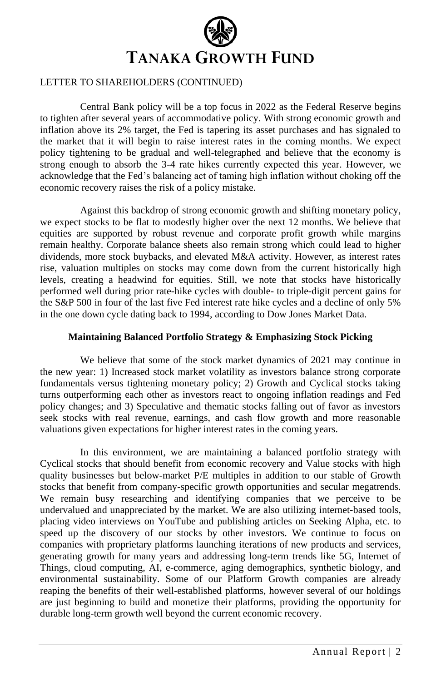

#### LETTER TO SHAREHOLDERS (CONTINUED)

Central Bank policy will be a top focus in 2022 as the Federal Reserve begins to tighten after several years of accommodative policy. With strong economic growth and inflation above its 2% target, the Fed is tapering its asset purchases and has signaled to the market that it will begin to raise interest rates in the coming months. We expect policy tightening to be gradual and well-telegraphed and believe that the economy is strong enough to absorb the 3-4 rate hikes currently expected this year. However, we acknowledge that the Fed's balancing act of taming high inflation without choking off the economic recovery raises the risk of a policy mistake.

Against this backdrop of strong economic growth and shifting monetary policy, we expect stocks to be flat to modestly higher over the next 12 months. We believe that equities are supported by robust revenue and corporate profit growth while margins remain healthy. Corporate balance sheets also remain strong which could lead to higher dividends, more stock buybacks, and elevated M&A activity. However, as interest rates rise, valuation multiples on stocks may come down from the current historically high levels, creating a headwind for equities. Still, we note that stocks have historically performed well during prior rate-hike cycles with double- to triple-digit percent gains for the S&P 500 in four of the last five Fed interest rate hike cycles and a decline of only 5% in the one down cycle dating back to 1994, according to Dow Jones Market Data.

#### **Maintaining Balanced Portfolio Strategy & Emphasizing Stock Picking**

We believe that some of the stock market dynamics of 2021 may continue in the new year: 1) Increased stock market volatility as investors balance strong corporate fundamentals versus tightening monetary policy; 2) Growth and Cyclical stocks taking turns outperforming each other as investors react to ongoing inflation readings and Fed policy changes; and 3) Speculative and thematic stocks falling out of favor as investors seek stocks with real revenue, earnings, and cash flow growth and more reasonable valuations given expectations for higher interest rates in the coming years.

In this environment, we are maintaining a balanced portfolio strategy with Cyclical stocks that should benefit from economic recovery and Value stocks with high quality businesses but below-market P/E multiples in addition to our stable of Growth stocks that benefit from company-specific growth opportunities and secular megatrends. We remain busy researching and identifying companies that we perceive to be undervalued and unappreciated by the market. We are also utilizing internet-based tools, placing video interviews on YouTube and publishing articles on Seeking Alpha, etc. to speed up the discovery of our stocks by other investors. We continue to focus on companies with proprietary platforms launching iterations of new products and services, generating growth for many years and addressing long-term trends like 5G, Internet of Things, cloud computing, AI, e-commerce, aging demographics, synthetic biology, and environmental sustainability. Some of our Platform Growth companies are already reaping the benefits of their well-established platforms, however several of our holdings are just beginning to build and monetize their platforms, providing the opportunity for durable long-term growth well beyond the current economic recovery.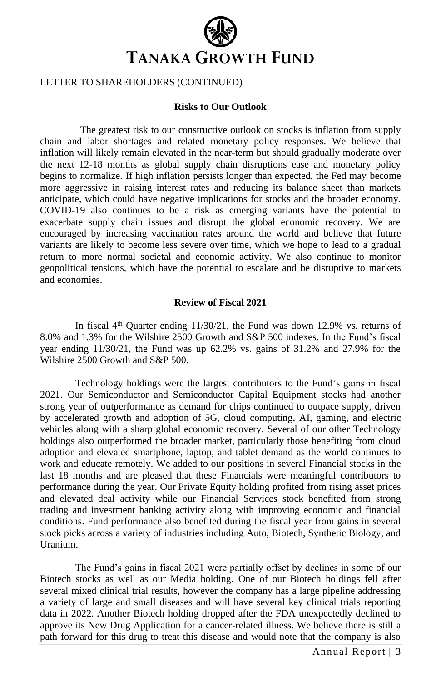

#### LETTER TO SHAREHOLDERS (CONTINUED)

#### **Risks to Our Outlook**

The greatest risk to our constructive outlook on stocks is inflation from supply chain and labor shortages and related monetary policy responses. We believe that inflation will likely remain elevated in the near-term but should gradually moderate over the next 12-18 months as global supply chain disruptions ease and monetary policy begins to normalize. If high inflation persists longer than expected, the Fed may become more aggressive in raising interest rates and reducing its balance sheet than markets anticipate, which could have negative implications for stocks and the broader economy. COVID-19 also continues to be a risk as emerging variants have the potential to exacerbate supply chain issues and disrupt the global economic recovery. We are encouraged by increasing vaccination rates around the world and believe that future variants are likely to become less severe over time, which we hope to lead to a gradual return to more normal societal and economic activity. We also continue to monitor geopolitical tensions, which have the potential to escalate and be disruptive to markets and economies.

#### **Review of Fiscal 2021**

In fiscal 4<sup>th</sup> Quarter ending 11/30/21, the Fund was down 12.9% vs. returns of 8.0% and 1.3% for the Wilshire 2500 Growth and S&P 500 indexes. In the Fund's fiscal year ending 11/30/21, the Fund was up 62.2% vs. gains of 31.2% and 27.9% for the Wilshire 2500 Growth and S&P 500.

Technology holdings were the largest contributors to the Fund's gains in fiscal 2021. Our Semiconductor and Semiconductor Capital Equipment stocks had another strong year of outperformance as demand for chips continued to outpace supply, driven by accelerated growth and adoption of 5G, cloud computing, AI, gaming, and electric vehicles along with a sharp global economic recovery. Several of our other Technology holdings also outperformed the broader market, particularly those benefiting from cloud adoption and elevated smartphone, laptop, and tablet demand as the world continues to work and educate remotely. We added to our positions in several Financial stocks in the last 18 months and are pleased that these Financials were meaningful contributors to performance during the year. Our Private Equity holding profited from rising asset prices and elevated deal activity while our Financial Services stock benefited from strong trading and investment banking activity along with improving economic and financial conditions. Fund performance also benefited during the fiscal year from gains in several stock picks across a variety of industries including Auto, Biotech, Synthetic Biology, and Uranium.

The Fund's gains in fiscal 2021 were partially offset by declines in some of our Biotech stocks as well as our Media holding. One of our Biotech holdings fell after several mixed clinical trial results, however the company has a large pipeline addressing a variety of large and small diseases and will have several key clinical trials reporting data in 2022. Another Biotech holding dropped after the FDA unexpectedly declined to approve its New Drug Application for a cancer-related illness. We believe there is still a path forward for this drug to treat this disease and would note that the company is also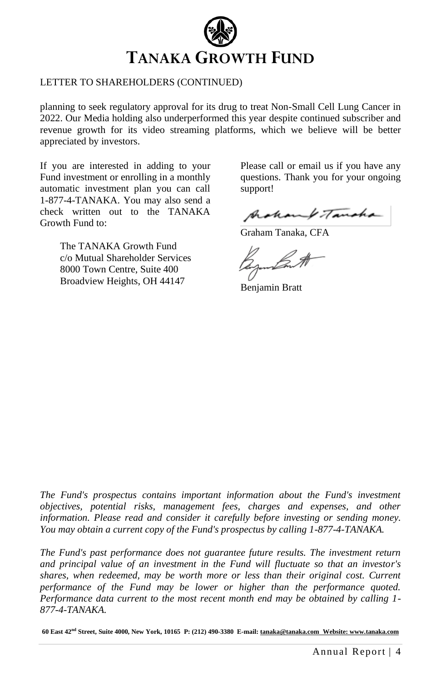

#### LETTER TO SHAREHOLDERS (CONTINUED)

planning to seek regulatory approval for its drug to treat Non-Small Cell Lung Cancer in 2022. Our Media holding also underperformed this year despite continued subscriber and revenue growth for its video streaming platforms, which we believe will be better appreciated by investors.

If you are interested in adding to your Fund investment or enrolling in a monthly automatic investment plan you can call 1-877-4-TANAKA. You may also send a check written out to the TANAKA Growth Fund to:

> The TANAKA Growth Fund c/o Mutual Shareholder Services 8000 Town Centre, Suite 400 Broadview Heights, OH 44147

Please call or email us if you have any questions. Thank you for your ongoing support!

Archamp Tancha

Graham Tanaka, CFA

Benjamin Bratt

*The Fund's prospectus contains important information about the Fund's investment objectives, potential risks, management fees, charges and expenses, and other information. Please read and consider it carefully before investing or sending money. You may obtain a current copy of the Fund's prospectus by calling 1-877-4-TANAKA.* 

*The Fund's past performance does not guarantee future results. The investment return and principal value of an investment in the Fund will fluctuate so that an investor's shares, when redeemed, may be worth more or less than their original cost. Current performance of the Fund may be lower or higher than the performance quoted. Performance data current to the most recent month end may be obtained by calling 1- 877-4-TANAKA.*

**60 East 42nd Street, Suite 4000, New York, 10165 P: (212) 490-3380 E-mail[: tanaka@tanaka.com](mailto:tanaka@tanaka.com) Website: www.tanaka.com**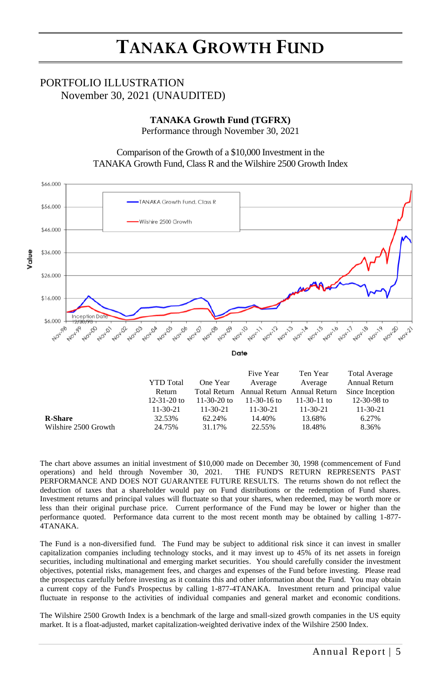### PORTFOLIO ILLUSTRATION November 30, 2021 (UNAUDITED)

#### **TANAKA Growth Fund (TGFRX)**

Performance through November 30, 2021

#### Comparison of the Growth of a \$10,000 Investment in the TANAKA Growth Fund, Class R and the Wilshire 2500 Growth Index



The chart above assumes an initial investment of \$10,000 made on December 30, 1998 (commencement of Fund operations) and held through November 30, 2021. THE FUND'S RETURN REPRESENTS PAST PERFORMANCE AND DOES NOT GUARANTEE FUTURE RESULTS. The returns shown do not reflect the deduction of taxes that a shareholder would pay on Fund distributions or the redemption of Fund shares. Investment returns and principal values will fluctuate so that your shares, when redeemed, may be worth more or less than their original purchase price. Current performance of the Fund may be lower or higher than the performance quoted. Performance data current to the most recent month may be obtained by calling 1-877- 4TANAKA.

The Fund is a non-diversified fund. The Fund may be subject to additional risk since it can invest in smaller capitalization companies including technology stocks, and it may invest up to 45% of its net assets in foreign securities, including multinational and emerging market securities. You should carefully consider the investment objectives, potential risks, management fees, and charges and expenses of the Fund before investing. Please read the prospectus carefully before investing as it contains this and other information about the Fund. You may obtain a current copy of the Fund's Prospectus by calling 1-877-4TANAKA. Investment return and principal value fluctuate in response to the activities of individual companies and general market and economic conditions.

The Wilshire 2500 Growth Index is a benchmark of the large and small-sized growth companies in the US equity market. It is a float-adjusted, market capitalization-weighted derivative index of the Wilshire 2500 Index.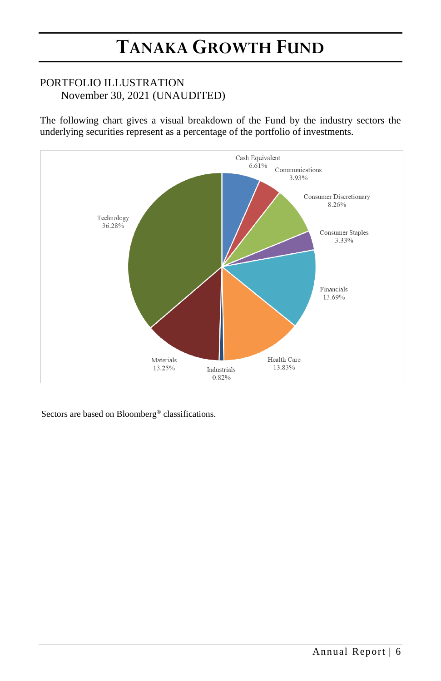### PORTFOLIO ILLUSTRATION November 30, 2021 (UNAUDITED)

The following chart gives a visual breakdown of the Fund by the industry sectors the underlying securities represent as a percentage of the portfolio of investments.



Sectors are based on Bloomberg® classifications.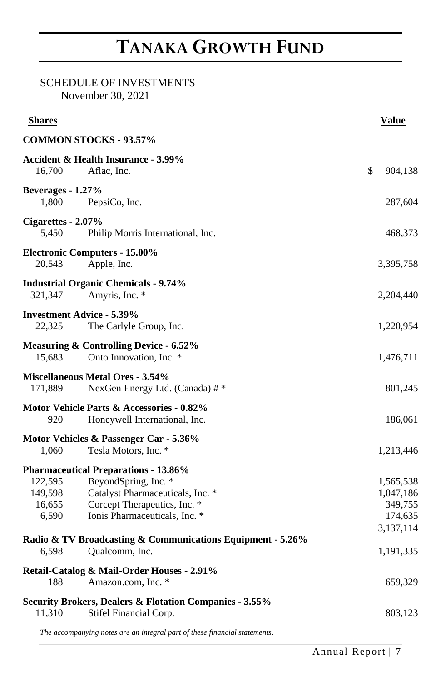### SCHEDULE OF INVESTMENTS

November 30, 2021

| <b>Shares</b>      |                                                                              | <b>Value</b>  |
|--------------------|------------------------------------------------------------------------------|---------------|
|                    | <b>COMMON STOCKS - 93.57%</b>                                                |               |
|                    | Accident & Health Insurance - 3.99%                                          |               |
| 16,700             | Aflac. Inc.                                                                  | \$<br>904,138 |
| Beverages - 1.27%  |                                                                              |               |
| 1,800              | PepsiCo, Inc.                                                                | 287,604       |
| Cigarettes - 2.07% |                                                                              |               |
| 5,450              | Philip Morris International, Inc.                                            | 468,373       |
|                    | <b>Electronic Computers - 15.00%</b>                                         |               |
| 20,543             | Apple, Inc.                                                                  | 3,395,758     |
|                    | <b>Industrial Organic Chemicals - 9.74%</b>                                  |               |
| 321,347            | Amyris, Inc. *                                                               | 2,204,440     |
|                    | <b>Investment Advice - 5.39%</b>                                             |               |
| 22,325             | The Carlyle Group, Inc.                                                      | 1,220,954     |
|                    |                                                                              |               |
| 15.683             | <b>Measuring &amp; Controlling Device - 6.52%</b><br>Onto Innovation, Inc. * | 1,476,711     |
|                    |                                                                              |               |
| 171,889            | <b>Miscellaneous Metal Ores - 3.54%</b><br>NexGen Energy Ltd. (Canada) # *   | 801,245       |
|                    |                                                                              |               |
|                    | Motor Vehicle Parts & Accessories - 0.82%                                    |               |
| 920                | Honeywell International, Inc.                                                | 186,061       |
|                    | Motor Vehicles & Passenger Car - 5.36%                                       |               |
| 1,060              | Tesla Motors, Inc. *                                                         | 1,213,446     |
|                    | <b>Pharmaceutical Preparations - 13.86%</b>                                  |               |
| 122,595            | BeyondSpring, Inc. *                                                         | 1,565,538     |
| 149,598            | Catalyst Pharmaceuticals, Inc. *                                             | 1,047,186     |
| 16,655             | Corcept Therapeutics, Inc. *                                                 | 349,755       |
| 6,590              | Ionis Pharmaceuticals, Inc. *                                                | 174,635       |
|                    | Radio & TV Broadcasting & Communications Equipment - 5.26%                   | 3,137,114     |
| 6.598              | Qualcomm, Inc.                                                               | 1,191,335     |
|                    |                                                                              |               |
|                    | Retail-Catalog & Mail-Order Houses - 2.91%                                   |               |
| 188                | Amazon.com, Inc. *                                                           | 659,329       |
|                    | <b>Security Brokers, Dealers &amp; Flotation Companies - 3.55%</b>           |               |
| 11,310             | Stifel Financial Corp.                                                       | 803,123       |
|                    | The accompanying notes are an integral part of these financial statements.   |               |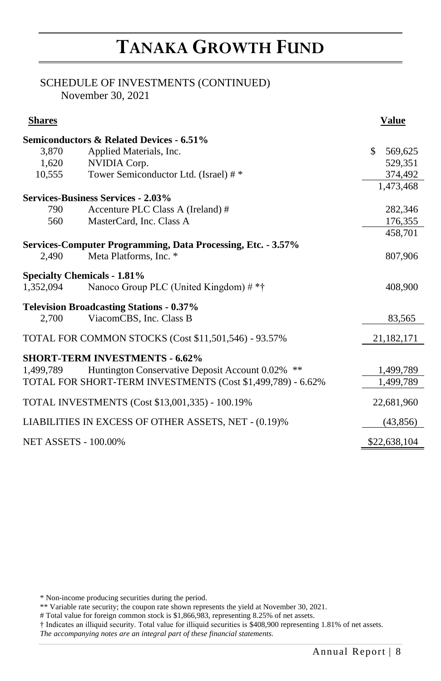# SCHEDULE OF INVESTMENTS (CONTINUED)

November 30, 2021

| <b>Shares</b>               |                                                              | <b>Value</b>  |
|-----------------------------|--------------------------------------------------------------|---------------|
|                             | <b>Semiconductors &amp; Related Devices - 6.51%</b>          |               |
| 3,870                       | Applied Materials, Inc.                                      | \$<br>569,625 |
| 1,620                       | NVIDIA Corp.                                                 | 529,351       |
| 10,555                      | Tower Semiconductor Ltd. (Israel) #*                         | 374,492       |
|                             |                                                              | 1.473.468     |
|                             | <b>Services-Business Services - 2.03%</b>                    |               |
| 790                         | Accenture PLC Class A (Ireland) #                            | 282,346       |
| 560                         | MasterCard, Inc. Class A                                     | 176,355       |
|                             |                                                              | 458,701       |
|                             | Services-Computer Programming, Data Processing, Etc. - 3.57% |               |
| 2,490                       | Meta Platforms, Inc. *                                       | 807.906       |
|                             | <b>Specialty Chemicals - 1.81%</b>                           |               |
| 1,352,094                   | Nanoco Group PLC (United Kingdom) $\# * \dagger$             | 408,900       |
|                             | <b>Television Broadcasting Stations - 0.37%</b>              |               |
| 2.700                       | ViacomCBS, Inc. Class B                                      | 83,565        |
|                             | <b>TOTAL FOR COMMON STOCKS (Cost \$11,501,546) - 93.57%</b>  | 21,182,171    |
|                             | <b>SHORT-TERM INVESTMENTS - 6.62%</b>                        |               |
| 1.499.789                   | Huntington Conservative Deposit Account 0.02% **             | 1,499,789     |
|                             | TOTAL FOR SHORT-TERM INVESTMENTS (Cost \$1,499,789) - 6.62%  | 1,499,789     |
|                             | TOTAL INVESTMENTS (Cost \$13,001,335) - 100.19%              | 22,681,960    |
|                             | LIABILITIES IN EXCESS OF OTHER ASSETS, NET - (0.19)%         | (43, 856)     |
| <b>NET ASSETS - 100.00%</b> |                                                              | \$22,638,104  |

*The accompanying notes are an integral part of these financial statements.*

<sup>\*</sup> Non-income producing securities during the period.

<sup>\*\*</sup> Variable rate security; the coupon rate shown represents the yield at November 30, 2021.

<sup>#</sup> Total value for foreign common stock is \$1,866,983, representing 8.25% of net assets.

<sup>†</sup> Indicates an illiquid security. Total value for illiquid securities is \$408,900 representing 1.81% of net assets.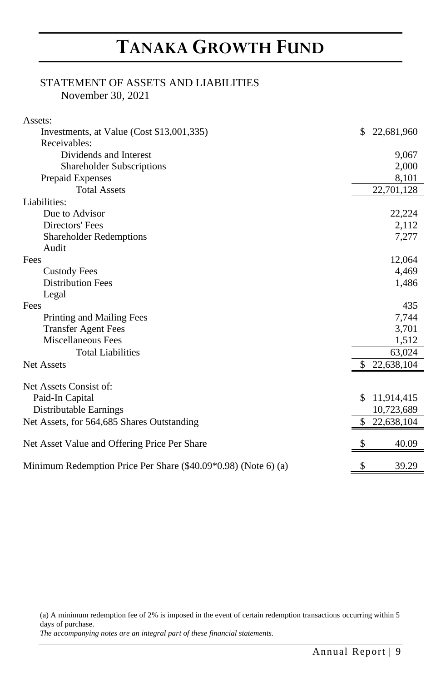### STATEMENT OF ASSETS AND LIABILITIES November 30, 2021

| Assets:                                                        |                  |
|----------------------------------------------------------------|------------------|
| Investments, at Value (Cost \$13,001,335)                      | \$<br>22,681,960 |
| Receivables:                                                   |                  |
| Dividends and Interest                                         | 9,067            |
| <b>Shareholder Subscriptions</b>                               | 2,000            |
| Prepaid Expenses                                               | 8,101            |
| <b>Total Assets</b>                                            | 22,701,128       |
| Liabilities:                                                   |                  |
| Due to Advisor                                                 | 22,224           |
| Directors' Fees                                                | 2,112            |
| <b>Shareholder Redemptions</b>                                 | 7,277            |
| Audit                                                          |                  |
| Fees                                                           | 12,064           |
| <b>Custody Fees</b>                                            | 4,469            |
| <b>Distribution Fees</b>                                       | 1,486            |
| Legal                                                          |                  |
| Fees                                                           | 435              |
| Printing and Mailing Fees                                      | 7,744            |
| <b>Transfer Agent Fees</b>                                     | 3,701            |
| Miscellaneous Fees                                             | 1,512            |
| <b>Total Liabilities</b>                                       | 63,024           |
| <b>Net Assets</b>                                              | \$22,638,104     |
| Net Assets Consist of:                                         |                  |
| Paid-In Capital                                                | \$<br>11,914,415 |
| Distributable Earnings                                         | 10,723,689       |
| Net Assets, for 564,685 Shares Outstanding                     | \$<br>22,638,104 |
|                                                                |                  |
| Net Asset Value and Offering Price Per Share                   | \$<br>40.09      |
| Minimum Redemption Price Per Share (\$40.09*0.98) (Note 6) (a) | \$<br>39.29      |

(a) A minimum redemption fee of 2% is imposed in the event of certain redemption transactions occurring within 5 days of purchase.

*The accompanying notes are an integral part of these financial statements.*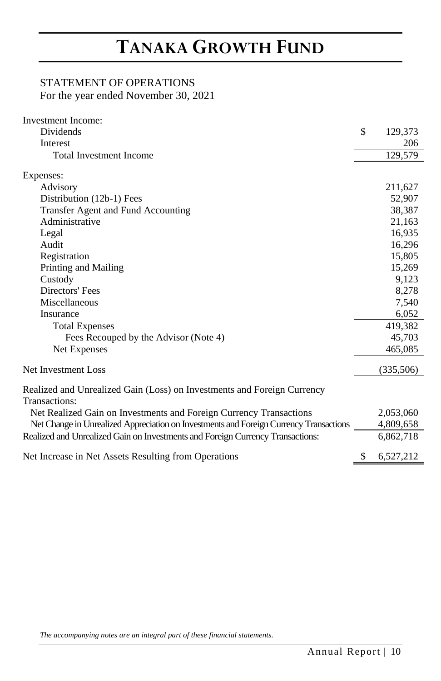### STATEMENT OF OPERATIONS

For the year ended November 30, 2021

| Investment Income:                                                                       |               |
|------------------------------------------------------------------------------------------|---------------|
| Dividends                                                                                | \$<br>129,373 |
| Interest                                                                                 | 206           |
| <b>Total Investment Income</b>                                                           | 129,579       |
|                                                                                          |               |
| Expenses:                                                                                |               |
| Advisory                                                                                 | 211,627       |
| Distribution (12b-1) Fees                                                                | 52,907        |
| Transfer Agent and Fund Accounting                                                       | 38,387        |
| Administrative                                                                           | 21,163        |
| Legal                                                                                    | 16,935        |
| Audit                                                                                    | 16,296        |
| Registration                                                                             | 15,805        |
| Printing and Mailing                                                                     | 15,269        |
| Custody                                                                                  | 9,123         |
| Directors' Fees                                                                          | 8,278         |
| Miscellaneous                                                                            | 7,540         |
| Insurance                                                                                | 6,052         |
| <b>Total Expenses</b>                                                                    | 419,382       |
| Fees Recouped by the Advisor (Note 4)                                                    | 45,703        |
| Net Expenses                                                                             | 465,085       |
| Net Investment Loss                                                                      | (335,506)     |
| Realized and Unrealized Gain (Loss) on Investments and Foreign Currency<br>Transactions: |               |
| Net Realized Gain on Investments and Foreign Currency Transactions                       | 2,053,060     |
| Net Change in Unrealized Appreciation on Investments and Foreign Currency Transactions   | 4,809,658     |
| Realized and Unrealized Gain on Investments and Foreign Currency Transactions:           | 6,862,718     |
| Net Increase in Net Assets Resulting from Operations                                     | 6,527,212     |

*The accompanying notes are an integral part of these financial statements.*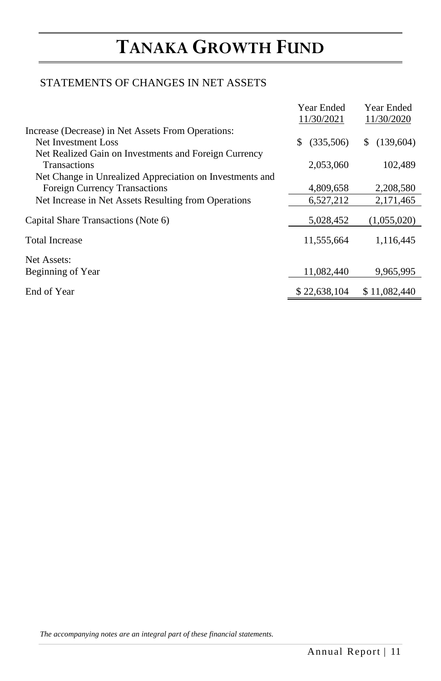## STATEMENTS OF CHANGES IN NET ASSETS

|                                                          | Year Ended<br>11/30/2021 | Year Ended<br>11/30/2020 |
|----------------------------------------------------------|--------------------------|--------------------------|
| Increase (Decrease) in Net Assets From Operations:       |                          |                          |
| Net Investment Loss                                      | (335,506)<br>\$          | (139,604)<br>S           |
| Net Realized Gain on Investments and Foreign Currency    |                          |                          |
| <b>Transactions</b>                                      | 2,053,060                | 102,489                  |
| Net Change in Unrealized Appreciation on Investments and |                          |                          |
| <b>Foreign Currency Transactions</b>                     | 4,809,658                | 2,208,580                |
| Net Increase in Net Assets Resulting from Operations     | 6,527,212                | 2,171,465                |
| Capital Share Transactions (Note 6)                      | 5,028,452                | (1,055,020)              |
| <b>Total Increase</b>                                    | 11,555,664               | 1,116,445                |
| Net Assets:                                              |                          |                          |
| Beginning of Year                                        | 11.082.440               | 9,965,995                |
| End of Year                                              | \$22,638,104             | \$11,082,440             |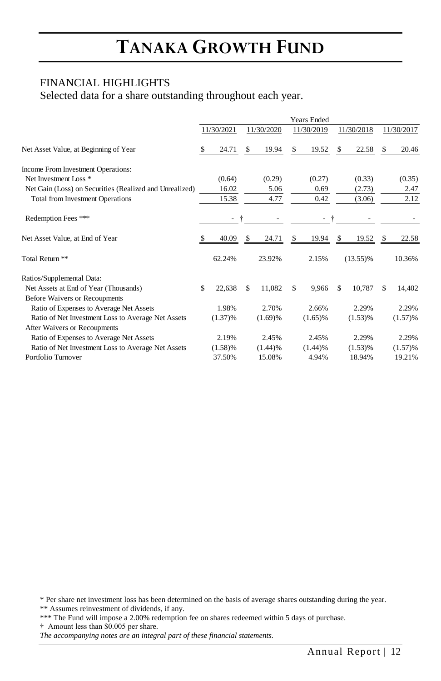### FINANCIAL HIGHLIGHTS

Selected data for a share outstanding throughout each year.

|                                                         |    |            |              |    | <b>Years Ended</b> |              |     |            |
|---------------------------------------------------------|----|------------|--------------|----|--------------------|--------------|-----|------------|
|                                                         |    | 11/30/2021 | 11/30/2020   |    | 11/30/2019         | 11/30/2018   |     | 11/30/2017 |
| Net Asset Value, at Beginning of Year                   | S. | 24.71      | \$<br>19.94  | S  | 19.52              | \$<br>22.58  | S   | 20.46      |
| Income From Investment Operations:                      |    |            |              |    |                    |              |     |            |
| Net Investment Loss <sup>*</sup>                        |    | (0.64)     | (0.29)       |    | (0.27)             | (0.33)       |     | (0.35)     |
| Net Gain (Loss) on Securities (Realized and Unrealized) |    | 16.02      | 5.06         |    | 0.69               | (2.73)       |     | 2.47       |
| Total from Investment Operations                        |    | 15.38      | 4.77         |    | 0.42               | (3.06)       |     | 2.12       |
| Redemption Fees ***                                     |    | $\sim$     |              |    |                    |              |     |            |
| Net Asset Value, at End of Year                         | S  | 40.09      | \$<br>24.71  | S  | 19.94              | \$<br>19.52  | \$. | 22.58      |
| Total Return **                                         |    | 62.24%     | 23.92%       |    | 2.15%              | $(13.55)\%$  |     | 10.36%     |
| Ratios/Supplemental Data:                               |    |            |              |    |                    |              |     |            |
| Net Assets at End of Year (Thousands)                   | \$ | 22,638     | \$<br>11,082 | \$ | 9.966              | \$<br>10.787 | S   | 14,402     |
| Before Waivers or Recoupments                           |    |            |              |    |                    |              |     |            |
| Ratio of Expenses to Average Net Assets                 |    | 1.98%      | 2.70%        |    | 2.66%              | 2.29%        |     | 2.29%      |
| Ratio of Net Investment Loss to Average Net Assets      |    | (1.37)%    | (1.69)%      |    | $(1.65)\%$         | (1.53)%      |     | (1.57)%    |
| After Waivers or Recoupments                            |    |            |              |    |                    |              |     |            |
| Ratio of Expenses to Average Net Assets                 |    | 2.19%      | 2.45%        |    | 2.45%              | 2.29%        |     | 2.29%      |
| Ratio of Net Investment Loss to Average Net Assets      |    | (1.58)%    | (1.44)%      |    | (1.44)%            | (1.53)%      |     | (1.57)%    |
| Portfolio Turnover                                      |    | 37.50%     | 15.08%       |    | 4.94%              | 18.94%       |     | 19.21%     |

\* Per share net investment loss has been determined on the basis of average shares outstanding during the year. \*\* Assumes reinvestment of dividends, if any.

\*\*\* The Fund will impose a 2.00% redemption fee on shares redeemed within 5 days of purchase.

† Amount less than \$0.005 per share.

*The accompanying notes are an integral part of these financial statements.*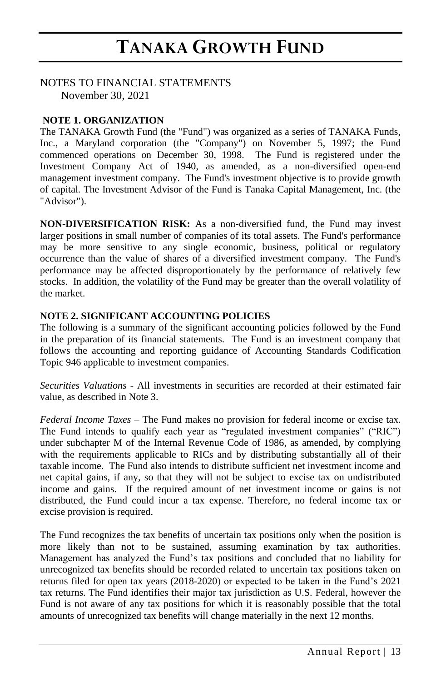#### NOTES TO FINANCIAL STATEMENTS November 30, 2021

#### **NOTE 1. ORGANIZATION**

The TANAKA Growth Fund (the "Fund") was organized as a series of TANAKA Funds, Inc., a Maryland corporation (the "Company") on November 5, 1997; the Fund commenced operations on December 30, 1998. The Fund is registered under the Investment Company Act of 1940, as amended, as a non-diversified open-end management investment company. The Fund's investment objective is to provide growth of capital. The Investment Advisor of the Fund is Tanaka Capital Management, Inc. (the "Advisor").

**NON-DIVERSIFICATION RISK:** As a non-diversified fund, the Fund may invest larger positions in small number of companies of its total assets. The Fund's performance may be more sensitive to any single economic, business, political or regulatory occurrence than the value of shares of a diversified investment company. The Fund's performance may be affected disproportionately by the performance of relatively few stocks. In addition, the volatility of the Fund may be greater than the overall volatility of the market.

#### **NOTE 2. SIGNIFICANT ACCOUNTING POLICIES**

The following is a summary of the significant accounting policies followed by the Fund in the preparation of its financial statements. The Fund is an investment company that follows the accounting and reporting guidance of Accounting Standards Codification Topic 946 applicable to investment companies.

*Securities Valuations* - All investments in securities are recorded at their estimated fair value, as described in Note 3.

*Federal Income Taxes* – The Fund makes no provision for federal income or excise tax. The Fund intends to qualify each year as "regulated investment companies" ("RIC") under subchapter M of the Internal Revenue Code of 1986, as amended, by complying with the requirements applicable to RICs and by distributing substantially all of their taxable income. The Fund also intends to distribute sufficient net investment income and net capital gains, if any, so that they will not be subject to excise tax on undistributed income and gains. If the required amount of net investment income or gains is not distributed, the Fund could incur a tax expense. Therefore, no federal income tax or excise provision is required.

The Fund recognizes the tax benefits of uncertain tax positions only when the position is more likely than not to be sustained, assuming examination by tax authorities. Management has analyzed the Fund's tax positions and concluded that no liability for unrecognized tax benefits should be recorded related to uncertain tax positions taken on returns filed for open tax years (2018-2020) or expected to be taken in the Fund's 2021 tax returns. The Fund identifies their major tax jurisdiction as U.S. Federal, however the Fund is not aware of any tax positions for which it is reasonably possible that the total amounts of unrecognized tax benefits will change materially in the next 12 months.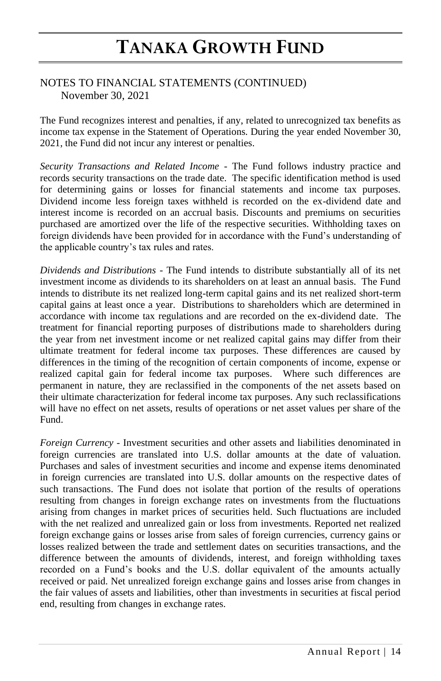### NOTES TO FINANCIAL STATEMENTS (CONTINUED) November 30, 2021

The Fund recognizes interest and penalties, if any, related to unrecognized tax benefits as income tax expense in the Statement of Operations. During the year ended November 30, 2021, the Fund did not incur any interest or penalties.

*Security Transactions and Related Income* - The Fund follows industry practice and records security transactions on the trade date. The specific identification method is used for determining gains or losses for financial statements and income tax purposes. Dividend income less foreign taxes withheld is recorded on the ex-dividend date and interest income is recorded on an accrual basis. Discounts and premiums on securities purchased are amortized over the life of the respective securities. Withholding taxes on foreign dividends have been provided for in accordance with the Fund's understanding of the applicable country's tax rules and rates.

*Dividends and Distributions* - The Fund intends to distribute substantially all of its net investment income as dividends to its shareholders on at least an annual basis. The Fund intends to distribute its net realized long-term capital gains and its net realized short-term capital gains at least once a year. Distributions to shareholders which are determined in accordance with income tax regulations and are recorded on the ex-dividend date. The treatment for financial reporting purposes of distributions made to shareholders during the year from net investment income or net realized capital gains may differ from their ultimate treatment for federal income tax purposes. These differences are caused by differences in the timing of the recognition of certain components of income, expense or realized capital gain for federal income tax purposes. Where such differences are permanent in nature, they are reclassified in the components of the net assets based on their ultimate characterization for federal income tax purposes. Any such reclassifications will have no effect on net assets, results of operations or net asset values per share of the Fund.

*Foreign Currency* - Investment securities and other assets and liabilities denominated in foreign currencies are translated into U.S. dollar amounts at the date of valuation. Purchases and sales of investment securities and income and expense items denominated in foreign currencies are translated into U.S. dollar amounts on the respective dates of such transactions. The Fund does not isolate that portion of the results of operations resulting from changes in foreign exchange rates on investments from the fluctuations arising from changes in market prices of securities held. Such fluctuations are included with the net realized and unrealized gain or loss from investments. Reported net realized foreign exchange gains or losses arise from sales of foreign currencies, currency gains or losses realized between the trade and settlement dates on securities transactions, and the difference between the amounts of dividends, interest, and foreign withholding taxes recorded on a Fund's books and the U.S. dollar equivalent of the amounts actually received or paid. Net unrealized foreign exchange gains and losses arise from changes in the fair values of assets and liabilities, other than investments in securities at fiscal period end, resulting from changes in exchange rates.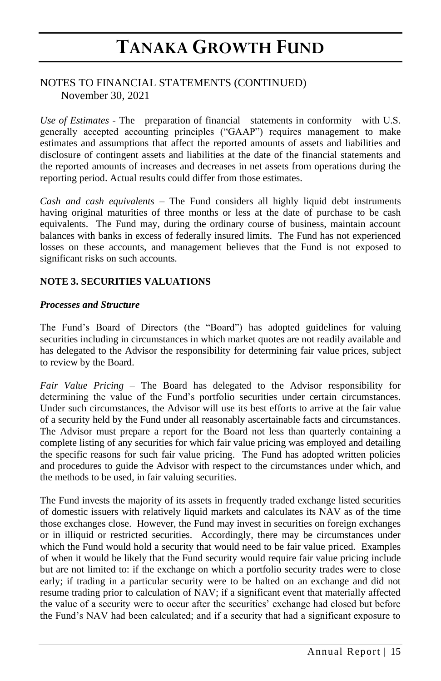### NOTES TO FINANCIAL STATEMENTS (CONTINUED) November 30, 2021

*Use of Estimates* - The preparation of financial statements in conformity with U.S. generally accepted accounting principles ("GAAP") requires management to make estimates and assumptions that affect the reported amounts of assets and liabilities and disclosure of contingent assets and liabilities at the date of the financial statements and the reported amounts of increases and decreases in net assets from operations during the reporting period. Actual results could differ from those estimates.

*Cash and cash equivalents* – The Fund considers all highly liquid debt instruments having original maturities of three months or less at the date of purchase to be cash equivalents. The Fund may, during the ordinary course of business, maintain account balances with banks in excess of federally insured limits. The Fund has not experienced losses on these accounts, and management believes that the Fund is not exposed to significant risks on such accounts.

#### **NOTE 3. SECURITIES VALUATIONS**

#### *Processes and Structure*

The Fund's Board of Directors (the "Board") has adopted guidelines for valuing securities including in circumstances in which market quotes are not readily available and has delegated to the Advisor the responsibility for determining fair value prices, subject to review by the Board.

*Fair Value Pricing –* The Board has delegated to the Advisor responsibility for determining the value of the Fund's portfolio securities under certain circumstances. Under such circumstances, the Advisor will use its best efforts to arrive at the fair value of a security held by the Fund under all reasonably ascertainable facts and circumstances. The Advisor must prepare a report for the Board not less than quarterly containing a complete listing of any securities for which fair value pricing was employed and detailing the specific reasons for such fair value pricing. The Fund has adopted written policies and procedures to guide the Advisor with respect to the circumstances under which, and the methods to be used, in fair valuing securities.

The Fund invests the majority of its assets in frequently traded exchange listed securities of domestic issuers with relatively liquid markets and calculates its NAV as of the time those exchanges close. However, the Fund may invest in securities on foreign exchanges or in illiquid or restricted securities. Accordingly, there may be circumstances under which the Fund would hold a security that would need to be fair value priced. Examples of when it would be likely that the Fund security would require fair value pricing include but are not limited to: if the exchange on which a portfolio security trades were to close early; if trading in a particular security were to be halted on an exchange and did not resume trading prior to calculation of NAV; if a significant event that materially affected the value of a security were to occur after the securities' exchange had closed but before the Fund's NAV had been calculated; and if a security that had a significant exposure to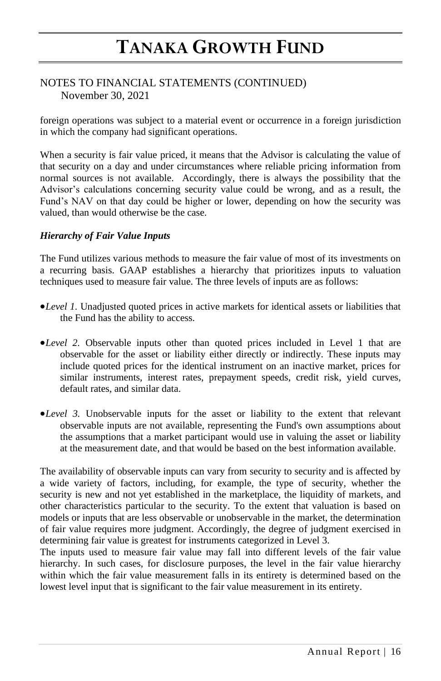### NOTES TO FINANCIAL STATEMENTS (CONTINUED) November 30, 2021

foreign operations was subject to a material event or occurrence in a foreign jurisdiction in which the company had significant operations.

When a security is fair value priced, it means that the Advisor is calculating the value of that security on a day and under circumstances where reliable pricing information from normal sources is not available. Accordingly, there is always the possibility that the Advisor's calculations concerning security value could be wrong, and as a result, the Fund's NAV on that day could be higher or lower, depending on how the security was valued, than would otherwise be the case.

#### *Hierarchy of Fair Value Inputs*

The Fund utilizes various methods to measure the fair value of most of its investments on a recurring basis. GAAP establishes a hierarchy that prioritizes inputs to valuation techniques used to measure fair value. The three levels of inputs are as follows:

- •*Level 1.* Unadjusted quoted prices in active markets for identical assets or liabilities that the Fund has the ability to access.
- •*Level 2.* Observable inputs other than quoted prices included in Level 1 that are observable for the asset or liability either directly or indirectly. These inputs may include quoted prices for the identical instrument on an inactive market, prices for similar instruments, interest rates, prepayment speeds, credit risk, yield curves, default rates, and similar data.
- •*Level 3.* Unobservable inputs for the asset or liability to the extent that relevant observable inputs are not available, representing the Fund's own assumptions about the assumptions that a market participant would use in valuing the asset or liability at the measurement date, and that would be based on the best information available.

The availability of observable inputs can vary from security to security and is affected by a wide variety of factors, including, for example, the type of security, whether the security is new and not yet established in the marketplace, the liquidity of markets, and other characteristics particular to the security. To the extent that valuation is based on models or inputs that are less observable or unobservable in the market, the determination of fair value requires more judgment. Accordingly, the degree of judgment exercised in determining fair value is greatest for instruments categorized in Level 3.

The inputs used to measure fair value may fall into different levels of the fair value hierarchy. In such cases, for disclosure purposes, the level in the fair value hierarchy within which the fair value measurement falls in its entirety is determined based on the lowest level input that is significant to the fair value measurement in its entirety.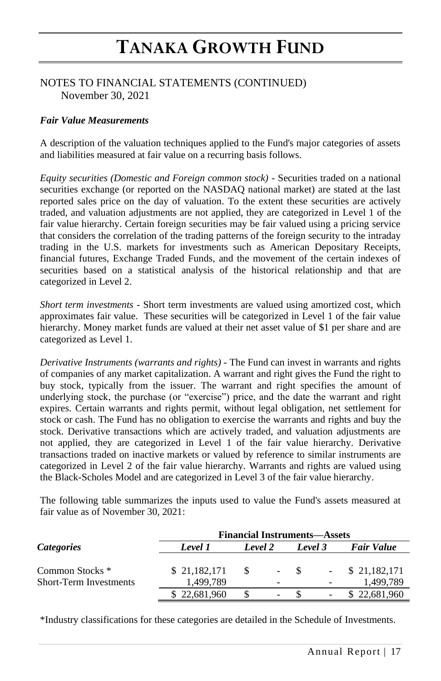### NOTES TO FINANCIAL STATEMENTS (CONTINUED) November 30, 2021

#### *Fair Value Measurements*

A description of the valuation techniques applied to the Fund's major categories of assets and liabilities measured at fair value on a recurring basis follows.

*Equity securities (Domestic and Foreign common stock) -* Securities traded on a national securities exchange (or reported on the NASDAQ national market) are stated at the last reported sales price on the day of valuation. To the extent these securities are actively traded, and valuation adjustments are not applied, they are categorized in Level 1 of the fair value hierarchy. Certain foreign securities may be fair valued using a pricing service that considers the correlation of the trading patterns of the foreign security to the intraday trading in the U.S. markets for investments such as American Depositary Receipts, financial futures, Exchange Traded Funds, and the movement of the certain indexes of securities based on a statistical analysis of the historical relationship and that are categorized in Level 2.

*Short term investments -* Short term investments are valued using amortized cost, which approximates fair value. These securities will be categorized in Level 1 of the fair value hierarchy. Money market funds are valued at their net asset value of \$1 per share and are categorized as Level 1.

*Derivative Instruments (warrants and rights) -* The Fund can invest in warrants and rights of companies of any market capitalization. A warrant and right gives the Fund the right to buy stock, typically from the issuer. The warrant and right specifies the amount of underlying stock, the purchase (or "exercise") price, and the date the warrant and right expires. Certain warrants and rights permit, without legal obligation, net settlement for stock or cash. The Fund has no obligation to exercise the warrants and rights and buy the stock. Derivative transactions which are actively traded, and valuation adjustments are not applied, they are categorized in Level 1 of the fair value hierarchy. Derivative transactions traded on inactive markets or valued by reference to similar instruments are categorized in Level 2 of the fair value hierarchy. Warrants and rights are valued using the Black-Scholes Model and are categorized in Level 3 of the fair value hierarchy.

The following table summarizes the inputs used to value the Fund's assets measured at fair value as of November 30, 2021:

|                                                  | <b>Financial Instruments—Assets</b> |         |                                            |              |  |                                |  |  |
|--------------------------------------------------|-------------------------------------|---------|--------------------------------------------|--------------|--|--------------------------------|--|--|
| <i>Categories</i>                                | Level 1                             | Level 2 |                                            | Level 3      |  | <b>Fair Value</b>              |  |  |
| Common Stocks *<br><b>Short-Term Investments</b> | \$21,182,171<br>1.499.789           | -S      | $\blacksquare$<br>$\overline{\phantom{0}}$ | $\mathbb{S}$ |  | $-$ \$ 21,182,171<br>1.499.789 |  |  |
|                                                  | \$22,681,960                        |         | -                                          |              |  | \$22,681,960                   |  |  |

\*Industry classifications for these categories are detailed in the Schedule of Investments.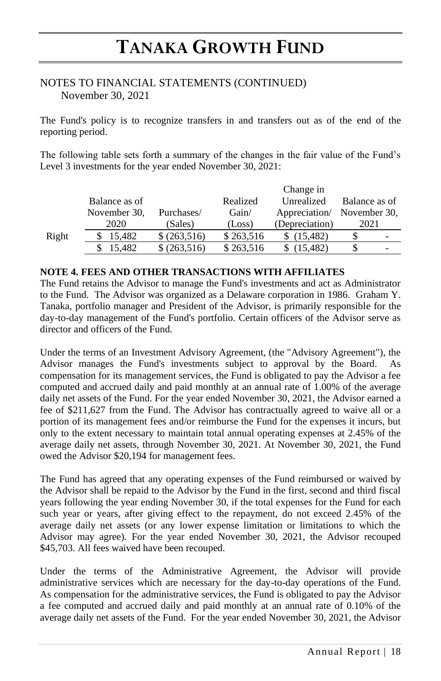### NOTES TO FINANCIAL STATEMENTS (CONTINUED) November 30, 2021

The Fund's policy is to recognize transfers in and transfers out as of the end of the reporting period.

The following table sets forth a summary of the changes in the fair value of the Fund's Level 3 investments for the year ended November 30, 2021:

|       |               |               |           | Change in      |               |
|-------|---------------|---------------|-----------|----------------|---------------|
|       | Balance as of |               | Realized  | Unrealized     | Balance as of |
|       | November 30,  | Purchases/    | Gain/     | Appreciation/  | November 30,  |
|       | 2020          | (Sales)       | (Loss)    | (Depreciation) | 2021          |
| Right | 15,482        | \$ (263, 516) | \$263,516 | (15, 482)      |               |
|       | 15.482        | \$ (263, 516) | \$263,516 | (15, 482)      |               |

#### **NOTE 4. FEES AND OTHER TRANSACTIONS WITH AFFILIATES**

The Fund retains the Advisor to manage the Fund's investments and act as Administrator to the Fund. The Advisor was organized as a Delaware corporation in 1986. Graham Y. Tanaka, portfolio manager and President of the Advisor, is primarily responsible for the day-to-day management of the Fund's portfolio. Certain officers of the Advisor serve as director and officers of the Fund.

Under the terms of an Investment Advisory Agreement, (the "Advisory Agreement"), the Advisor manages the Fund's investments subject to approval by the Board. As compensation for its management services, the Fund is obligated to pay the Advisor a fee computed and accrued daily and paid monthly at an annual rate of 1.00% of the average daily net assets of the Fund. For the year ended November 30, 2021, the Advisor earned a fee of \$211,627 from the Fund. The Advisor has contractually agreed to waive all or a portion of its management fees and/or reimburse the Fund for the expenses it incurs, but only to the extent necessary to maintain total annual operating expenses at 2.45% of the average daily net assets, through November 30, 2021. At November 30, 2021, the Fund owed the Advisor \$20,194 for management fees.

The Fund has agreed that any operating expenses of the Fund reimbursed or waived by the Advisor shall be repaid to the Advisor by the Fund in the first, second and third fiscal years following the year ending November 30, if the total expenses for the Fund for each such year or years, after giving effect to the repayment, do not exceed 2.45% of the average daily net assets (or any lower expense limitation or limitations to which the Advisor may agree). For the year ended November 30, 2021, the Advisor recouped \$45,703. All fees waived have been recouped.

Under the terms of the Administrative Agreement, the Advisor will provide administrative services which are necessary for the day-to-day operations of the Fund. As compensation for the administrative services, the Fund is obligated to pay the Advisor a fee computed and accrued daily and paid monthly at an annual rate of 0.10% of the average daily net assets of the Fund. For the year ended November 30, 2021, the Advisor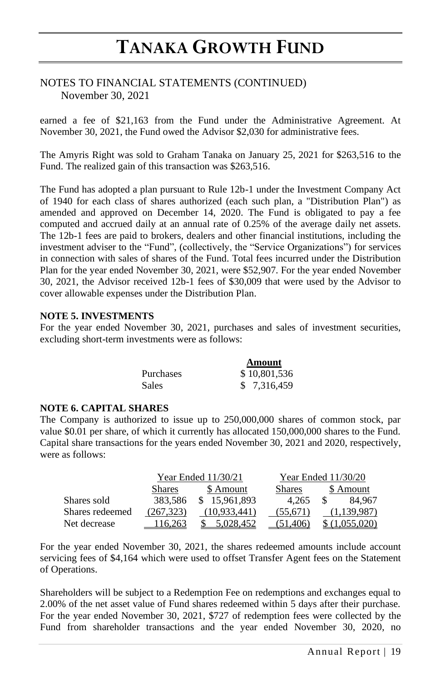### NOTES TO FINANCIAL STATEMENTS (CONTINUED) November 30, 2021

earned a fee of \$21,163 from the Fund under the Administrative Agreement. At November 30, 2021, the Fund owed the Advisor \$2,030 for administrative fees.

The Amyris Right was sold to Graham Tanaka on January 25, 2021 for \$263,516 to the Fund. The realized gain of this transaction was \$263,516.

The Fund has adopted a plan pursuant to Rule 12b-1 under the Investment Company Act of 1940 for each class of shares authorized (each such plan, a "Distribution Plan") as amended and approved on December 14, 2020. The Fund is obligated to pay a fee computed and accrued daily at an annual rate of 0.25% of the average daily net assets. The 12b-1 fees are paid to brokers, dealers and other financial institutions, including the investment adviser to the "Fund", (collectively, the "Service Organizations") for services in connection with sales of shares of the Fund. Total fees incurred under the Distribution Plan for the year ended November 30, 2021, were \$52,907. For the year ended November 30, 2021, the Advisor received 12b-1 fees of \$30,009 that were used by the Advisor to cover allowable expenses under the Distribution Plan.

#### **NOTE 5. INVESTMENTS**

For the year ended November 30, 2021, purchases and sales of investment securities, excluding short-term investments were as follows:

|              | Amount       |
|--------------|--------------|
| Purchases    | \$10,801,536 |
| <b>Sales</b> | \$ 7,316,459 |

#### **NOTE 6. CAPITAL SHARES**

The Company is authorized to issue up to 250,000,000 shares of common stock, par value \$0.01 per share, of which it currently has allocated 150,000,000 shares to the Fund. Capital share transactions for the years ended November 30, 2021 and 2020, respectively, were as follows:

|                 |               | Year Ended $11/30/21$ | Year Ended $11/30/20$ |                    |  |  |
|-----------------|---------------|-----------------------|-----------------------|--------------------|--|--|
|                 | <b>Shares</b> | \$ Amount             | <b>Shares</b>         | \$ Amount          |  |  |
| Shares sold     | 383.586       | \$15,961,893          | 4.265                 | 84.967<br><b>S</b> |  |  |
| Shares redeemed | (267.323)     | (10.933.441)          | (55,671)              | (1,139,987)        |  |  |
| Net decrease    | 116.263       | 5.028.452             | (51.406)              | \$(1.055.020)      |  |  |

For the year ended November 30, 2021, the shares redeemed amounts include account servicing fees of \$4,164 which were used to offset Transfer Agent fees on the Statement of Operations.

Shareholders will be subject to a Redemption Fee on redemptions and exchanges equal to 2.00% of the net asset value of Fund shares redeemed within 5 days after their purchase. For the year ended November 30, 2021, \$727 of redemption fees were collected by the Fund from shareholder transactions and the year ended November 30, 2020, no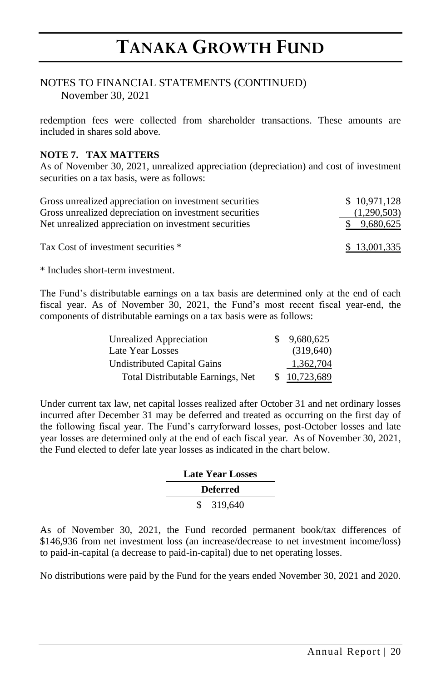### NOTES TO FINANCIAL STATEMENTS (CONTINUED) November 30, 2021

redemption fees were collected from shareholder transactions. These amounts are included in shares sold above.

#### **NOTE 7. TAX MATTERS**

As of November 30, 2021, unrealized appreciation (depreciation) and cost of investment securities on a tax basis, were as follows:

| Gross unrealized appreciation on investment securities<br>Gross unrealized depreciation on investment securities | \$10,971,128<br>(1,290,503) |
|------------------------------------------------------------------------------------------------------------------|-----------------------------|
| Net unrealized appreciation on investment securities                                                             | \$ 9,680,625                |
| Tax Cost of investment securities *                                                                              | \$13,001,335                |

\* Includes short-term investment.

The Fund's distributable earnings on a tax basis are determined only at the end of each fiscal year. As of November 30, 2021, the Fund's most recent fiscal year-end, the components of distributable earnings on a tax basis were as follows:

| Unrealized Appreciation            | S. | 9,680,625    |
|------------------------------------|----|--------------|
| Late Year Losses                   |    | (319,640)    |
| <b>Undistributed Capital Gains</b> |    | 1.362.704    |
| Total Distributable Earnings, Net  |    | \$10,723,689 |

Under current tax law, net capital losses realized after October 31 and net ordinary losses incurred after December 31 may be deferred and treated as occurring on the first day of the following fiscal year. The Fund's carryforward losses, post-October losses and late year losses are determined only at the end of each fiscal year. As of November 30, 2021, the Fund elected to defer late year losses as indicated in the chart below.

| <b>Late Year Losses</b> |         |  |  |
|-------------------------|---------|--|--|
| <b>Deferred</b>         |         |  |  |
|                         | 319,640 |  |  |

As of November 30, 2021, the Fund recorded permanent book/tax differences of \$146,936 from net investment loss (an increase/decrease to net investment income/loss) to paid-in-capital (a decrease to paid-in-capital) due to net operating losses.

No distributions were paid by the Fund for the years ended November 30, 2021 and 2020.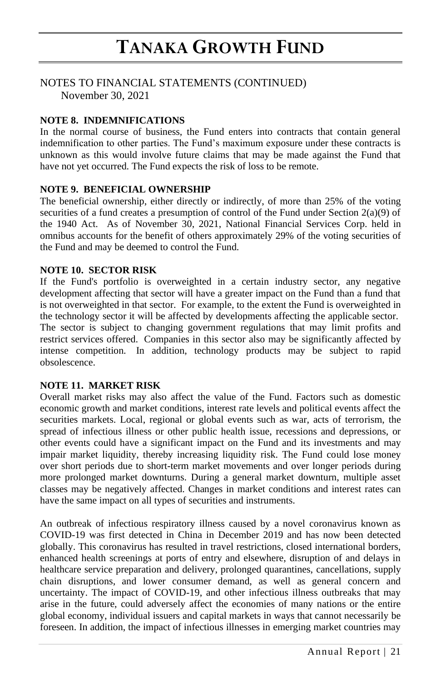# NOTES TO FINANCIAL STATEMENTS (CONTINUED)

November 30, 2021

### **NOTE 8. INDEMNIFICATIONS**

In the normal course of business, the Fund enters into contracts that contain general indemnification to other parties. The Fund's maximum exposure under these contracts is unknown as this would involve future claims that may be made against the Fund that have not yet occurred. The Fund expects the risk of loss to be remote.

### **NOTE 9. BENEFICIAL OWNERSHIP**

The beneficial ownership, either directly or indirectly, of more than 25% of the voting securities of a fund creates a presumption of control of the Fund under Section  $2(a)(9)$  of the 1940 Act. As of November 30, 2021, National Financial Services Corp. held in omnibus accounts for the benefit of others approximately 29% of the voting securities of the Fund and may be deemed to control the Fund.

### **NOTE 10. SECTOR RISK**

If the Fund's portfolio is overweighted in a certain industry sector, any negative development affecting that sector will have a greater impact on the Fund than a fund that is not overweighted in that sector. For example, to the extent the Fund is overweighted in the technology sector it will be affected by developments affecting the applicable sector. The sector is subject to changing government regulations that may limit profits and

restrict services offered. Companies in this sector also may be significantly affected by intense competition. In addition, technology products may be subject to rapid obsolescence.

### **NOTE 11. MARKET RISK**

Overall market risks may also affect the value of the Fund. Factors such as domestic economic growth and market conditions, interest rate levels and political events affect the securities markets. Local, regional or global events such as war, acts of terrorism, the spread of infectious illness or other public health issue, recessions and depressions, or other events could have a significant impact on the Fund and its investments and may impair market liquidity, thereby increasing liquidity risk. The Fund could lose money over short periods due to short-term market movements and over longer periods during more prolonged market downturns. During a general market downturn, multiple asset classes may be negatively affected. Changes in market conditions and interest rates can have the same impact on all types of securities and instruments.

An outbreak of infectious respiratory illness caused by a novel coronavirus known as COVID-19 was first detected in China in December 2019 and has now been detected globally. This coronavirus has resulted in travel restrictions, closed international borders, enhanced health screenings at ports of entry and elsewhere, disruption of and delays in healthcare service preparation and delivery, prolonged quarantines, cancellations, supply chain disruptions, and lower consumer demand, as well as general concern and uncertainty. The impact of COVID-19, and other infectious illness outbreaks that may arise in the future, could adversely affect the economies of many nations or the entire global economy, individual issuers and capital markets in ways that cannot necessarily be foreseen. In addition, the impact of infectious illnesses in emerging market countries may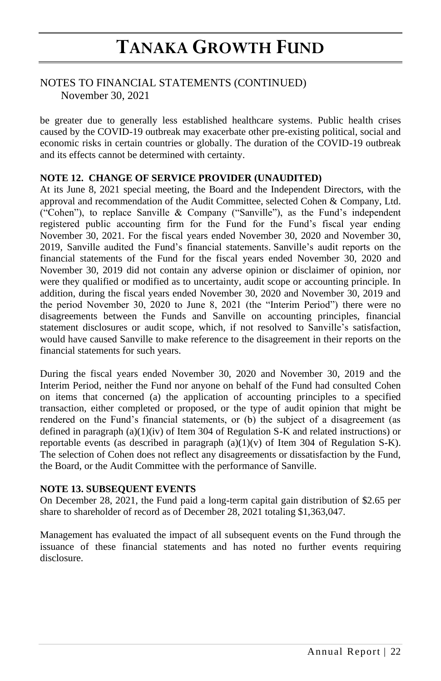### NOTES TO FINANCIAL STATEMENTS (CONTINUED) November 30, 2021

be greater due to generally less established healthcare systems. Public health crises caused by the COVID-19 outbreak may exacerbate other pre-existing political, social and economic risks in certain countries or globally. The duration of the COVID-19 outbreak and its effects cannot be determined with certainty.

#### **NOTE 12. CHANGE OF SERVICE PROVIDER (UNAUDITED)**

At its June 8, 2021 special meeting, the Board and the Independent Directors, with the approval and recommendation of the Audit Committee, selected Cohen & Company, Ltd. ("Cohen"), to replace Sanville & Company ("Sanville"), as the Fund's independent registered public accounting firm for the Fund for the Fund's fiscal year ending November 30, 2021. For the fiscal years ended November 30, 2020 and November 30, 2019, Sanville audited the Fund's financial statements. Sanville's audit reports on the financial statements of the Fund for the fiscal years ended November 30, 2020 and November 30, 2019 did not contain any adverse opinion or disclaimer of opinion, nor were they qualified or modified as to uncertainty, audit scope or accounting principle. In addition, during the fiscal years ended November 30, 2020 and November 30, 2019 and the period November 30, 2020 to June 8, 2021 (the "Interim Period") there were no disagreements between the Funds and Sanville on accounting principles, financial statement disclosures or audit scope, which, if not resolved to Sanville's satisfaction, would have caused Sanville to make reference to the disagreement in their reports on the financial statements for such years.

During the fiscal years ended November 30, 2020 and November 30, 2019 and the Interim Period, neither the Fund nor anyone on behalf of the Fund had consulted Cohen on items that concerned (a) the application of accounting principles to a specified transaction, either completed or proposed, or the type of audit opinion that might be rendered on the Fund's financial statements, or (b) the subject of a disagreement (as defined in paragraph (a)(1)(iv) of Item 304 of Regulation S-K and related instructions) or reportable events (as described in paragraph  $(a)(1)(v)$  of Item 304 of Regulation S-K). The selection of Cohen does not reflect any disagreements or dissatisfaction by the Fund, the Board, or the Audit Committee with the performance of Sanville.

#### **NOTE 13. SUBSEQUENT EVENTS**

On December 28, 2021, the Fund paid a long-term capital gain distribution of \$2.65 per share to shareholder of record as of December 28, 2021 totaling \$1,363,047.

Management has evaluated the impact of all subsequent events on the Fund through the issuance of these financial statements and has noted no further events requiring disclosure.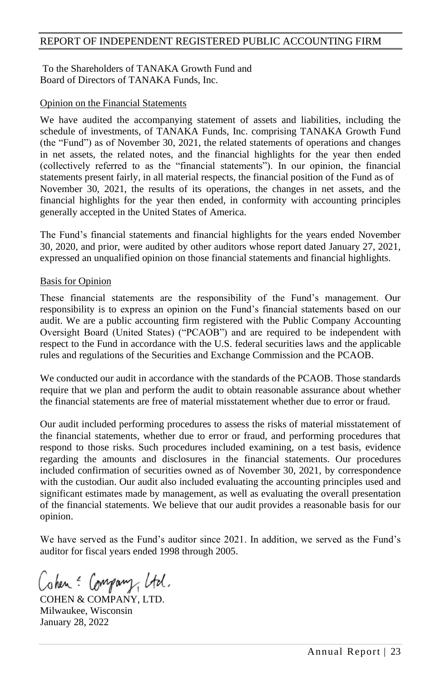### REPORT OF INDEPENDENT REGISTERED PUBLIC ACCOUNTING FIRM

#### To the Shareholders of TANAKA Growth Fund and Board of Directors of TANAKA Funds, Inc.

#### Opinion on the Financial Statements

We have audited the accompanying statement of assets and liabilities, including the schedule of investments, of TANAKA Funds, Inc. comprising TANAKA Growth Fund (the "Fund") as of November 30, 2021, the related statements of operations and changes in net assets, the related notes, and the financial highlights for the year then ended (collectively referred to as the "financial statements"). In our opinion, the financial statements present fairly, in all material respects, the financial position of the Fund as of November 30, 2021, the results of its operations, the changes in net assets, and the financial highlights for the year then ended, in conformity with accounting principles generally accepted in the United States of America.

The Fund's financial statements and financial highlights for the years ended November 30, 2020, and prior, were audited by other auditors whose report dated January 27, 2021, expressed an unqualified opinion on those financial statements and financial highlights.

#### Basis for Opinion

These financial statements are the responsibility of the Fund's management. Our responsibility is to express an opinion on the Fund's financial statements based on our audit. We are a public accounting firm registered with the Public Company Accounting Oversight Board (United States) ("PCAOB") and are required to be independent with respect to the Fund in accordance with the U.S. federal securities laws and the applicable rules and regulations of the Securities and Exchange Commission and the PCAOB.

We conducted our audit in accordance with the standards of the PCAOB. Those standards require that we plan and perform the audit to obtain reasonable assurance about whether the financial statements are free of material misstatement whether due to error or fraud.

Our audit included performing procedures to assess the risks of material misstatement of the financial statements, whether due to error or fraud, and performing procedures that respond to those risks. Such procedures included examining, on a test basis, evidence regarding the amounts and disclosures in the financial statements. Our procedures included confirmation of securities owned as of November 30, 2021, by correspondence with the custodian. Our audit also included evaluating the accounting principles used and significant estimates made by management, as well as evaluating the overall presentation of the financial statements. We believe that our audit provides a reasonable basis for our opinion.

We have served as the Fund's auditor since 2021. In addition, we served as the Fund's auditor for fiscal years ended 1998 through 2005.

Cohen: Company, Utd.

COHEN & COMPANY, LTD. Milwaukee, Wisconsin January 28, 2022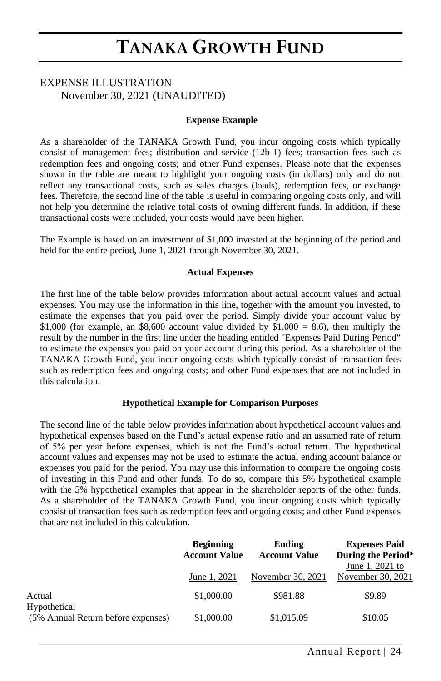### EXPENSE ILLUSTRATION November 30, 2021 (UNAUDITED)

#### **Expense Example**

As a shareholder of the TANAKA Growth Fund, you incur ongoing costs which typically consist of management fees; distribution and service (12b-1) fees; transaction fees such as redemption fees and ongoing costs; and other Fund expenses. Please note that the expenses shown in the table are meant to highlight your ongoing costs (in dollars) only and do not reflect any transactional costs, such as sales charges (loads), redemption fees, or exchange fees. Therefore, the second line of the table is useful in comparing ongoing costs only, and will not help you determine the relative total costs of owning different funds. In addition, if these transactional costs were included, your costs would have been higher.

The Example is based on an investment of \$1,000 invested at the beginning of the period and held for the entire period, June 1, 2021 through November 30, 2021.

#### **Actual Expenses**

The first line of the table below provides information about actual account values and actual expenses. You may use the information in this line, together with the amount you invested, to estimate the expenses that you paid over the period. Simply divide your account value by \$1,000 (for example, an \$8,600 account value divided by \$1,000 = 8.6), then multiply the result by the number in the first line under the heading entitled "Expenses Paid During Period" to estimate the expenses you paid on your account during this period. As a shareholder of the TANAKA Growth Fund, you incur ongoing costs which typically consist of transaction fees such as redemption fees and ongoing costs; and other Fund expenses that are not included in this calculation.

#### **Hypothetical Example for Comparison Purposes**

The second line of the table below provides information about hypothetical account values and hypothetical expenses based on the Fund's actual expense ratio and an assumed rate of return of 5% per year before expenses, which is not the Fund's actual return. The hypothetical account values and expenses may not be used to estimate the actual ending account balance or expenses you paid for the period. You may use this information to compare the ongoing costs of investing in this Fund and other funds. To do so, compare this 5% hypothetical example with the 5% hypothetical examples that appear in the shareholder reports of the other funds. As a shareholder of the TANAKA Growth Fund, you incur ongoing costs which typically consist of transaction fees such as redemption fees and ongoing costs; and other Fund expenses that are not included in this calculation.

|                                    | <b>Beginning</b><br><b>Account Value</b> | <b>Ending</b><br><b>Account Value</b> | <b>Expenses Paid</b><br>During the Period* |
|------------------------------------|------------------------------------------|---------------------------------------|--------------------------------------------|
|                                    | June 1, 2021                             | November 30, 2021                     | June 1, 2021 to<br>November 30, 2021       |
| Actual<br>Hypothetical             | \$1,000.00                               | \$981.88                              | \$9.89                                     |
| (5% Annual Return before expenses) | \$1,000.00                               | \$1,015.09                            | \$10.05                                    |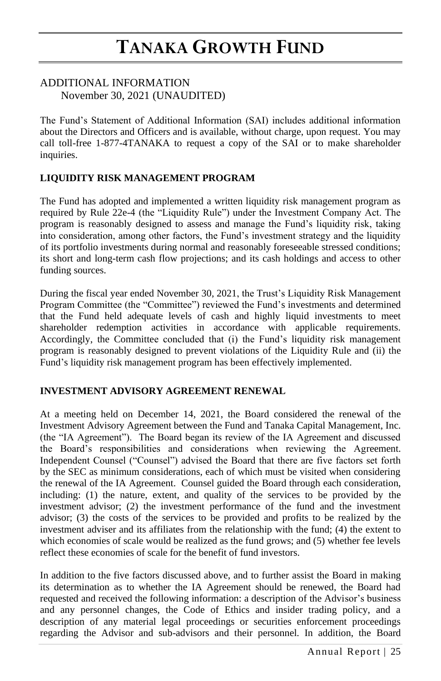### ADDITIONAL INFORMATION November 30, 2021 (UNAUDITED)

The Fund's Statement of Additional Information (SAI) includes additional information about the Directors and Officers and is available, without charge, upon request. You may call toll-free 1-877-4TANAKA to request a copy of the SAI or to make shareholder inquiries.

### **LIQUIDITY RISK MANAGEMENT PROGRAM**

The Fund has adopted and implemented a written liquidity risk management program as required by Rule 22e-4 (the "Liquidity Rule") under the Investment Company Act. The program is reasonably designed to assess and manage the Fund's liquidity risk, taking into consideration, among other factors, the Fund's investment strategy and the liquidity of its portfolio investments during normal and reasonably foreseeable stressed conditions; its short and long-term cash flow projections; and its cash holdings and access to other funding sources.

During the fiscal year ended November 30, 2021, the Trust's Liquidity Risk Management Program Committee (the "Committee") reviewed the Fund's investments and determined that the Fund held adequate levels of cash and highly liquid investments to meet shareholder redemption activities in accordance with applicable requirements. Accordingly, the Committee concluded that (i) the Fund's liquidity risk management program is reasonably designed to prevent violations of the Liquidity Rule and (ii) the Fund's liquidity risk management program has been effectively implemented.

### **INVESTMENT ADVISORY AGREEMENT RENEWAL**

At a meeting held on December 14, 2021, the Board considered the renewal of the Investment Advisory Agreement between the Fund and Tanaka Capital Management, Inc. (the "IA Agreement"). The Board began its review of the IA Agreement and discussed the Board's responsibilities and considerations when reviewing the Agreement. Independent Counsel ("Counsel") advised the Board that there are five factors set forth by the SEC as minimum considerations, each of which must be visited when considering the renewal of the IA Agreement. Counsel guided the Board through each consideration, including: (1) the nature, extent, and quality of the services to be provided by the investment advisor; (2) the investment performance of the fund and the investment advisor; (3) the costs of the services to be provided and profits to be realized by the investment adviser and its affiliates from the relationship with the fund; (4) the extent to which economies of scale would be realized as the fund grows; and (5) whether fee levels reflect these economies of scale for the benefit of fund investors.

In addition to the five factors discussed above, and to further assist the Board in making its determination as to whether the IA Agreement should be renewed, the Board had requested and received the following information: a description of the Advisor's business and any personnel changes, the Code of Ethics and insider trading policy, and a description of any material legal proceedings or securities enforcement proceedings regarding the Advisor and sub-advisors and their personnel. In addition, the Board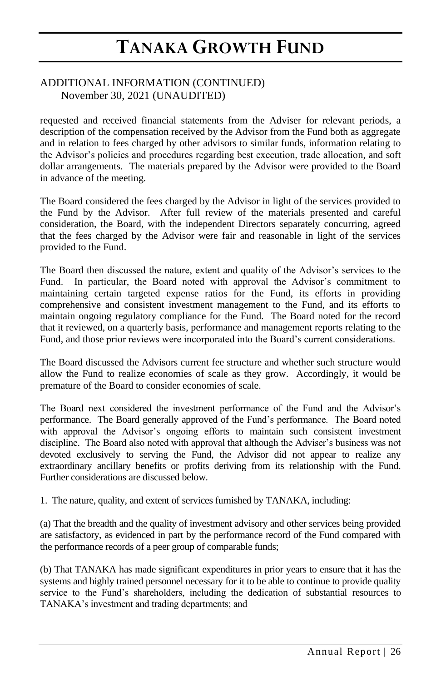### ADDITIONAL INFORMATION (CONTINUED) November 30, 2021 (UNAUDITED)

requested and received financial statements from the Adviser for relevant periods, a description of the compensation received by the Advisor from the Fund both as aggregate and in relation to fees charged by other advisors to similar funds, information relating to the Advisor's policies and procedures regarding best execution, trade allocation, and soft dollar arrangements. The materials prepared by the Advisor were provided to the Board in advance of the meeting.

The Board considered the fees charged by the Advisor in light of the services provided to the Fund by the Advisor. After full review of the materials presented and careful consideration, the Board, with the independent Directors separately concurring, agreed that the fees charged by the Advisor were fair and reasonable in light of the services provided to the Fund.

The Board then discussed the nature, extent and quality of the Advisor's services to the Fund. In particular, the Board noted with approval the Advisor's commitment to maintaining certain targeted expense ratios for the Fund, its efforts in providing comprehensive and consistent investment management to the Fund, and its efforts to maintain ongoing regulatory compliance for the Fund. The Board noted for the record that it reviewed, on a quarterly basis, performance and management reports relating to the Fund, and those prior reviews were incorporated into the Board's current considerations.

The Board discussed the Advisors current fee structure and whether such structure would allow the Fund to realize economies of scale as they grow. Accordingly, it would be premature of the Board to consider economies of scale.

The Board next considered the investment performance of the Fund and the Advisor's performance. The Board generally approved of the Fund's performance. The Board noted with approval the Advisor's ongoing efforts to maintain such consistent investment discipline. The Board also noted with approval that although the Adviser's business was not devoted exclusively to serving the Fund, the Advisor did not appear to realize any extraordinary ancillary benefits or profits deriving from its relationship with the Fund. Further considerations are discussed below.

1. The nature, quality, and extent of services furnished by TANAKA, including:

(a) That the breadth and the quality of investment advisory and other services being provided are satisfactory, as evidenced in part by the performance record of the Fund compared with the performance records of a peer group of comparable funds;

(b) That TANAKA has made significant expenditures in prior years to ensure that it has the systems and highly trained personnel necessary for it to be able to continue to provide quality service to the Fund's shareholders, including the dedication of substantial resources to TANAKA's investment and trading departments; and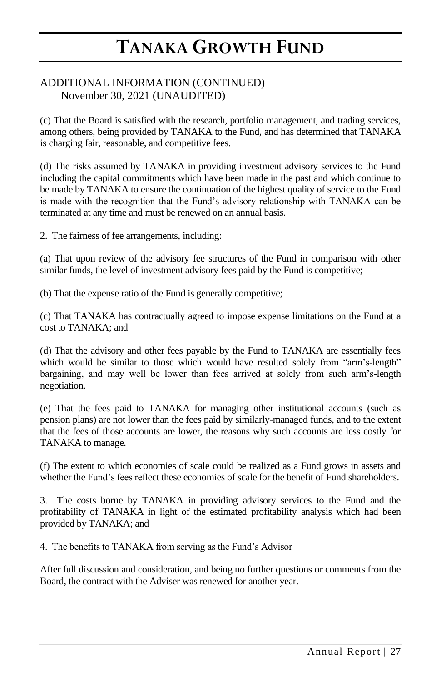### ADDITIONAL INFORMATION (CONTINUED) November 30, 2021 (UNAUDITED)

(c) That the Board is satisfied with the research, portfolio management, and trading services, among others, being provided by TANAKA to the Fund, and has determined that TANAKA is charging fair, reasonable, and competitive fees.

(d) The risks assumed by TANAKA in providing investment advisory services to the Fund including the capital commitments which have been made in the past and which continue to be made by TANAKA to ensure the continuation of the highest quality of service to the Fund is made with the recognition that the Fund's advisory relationship with TANAKA can be terminated at any time and must be renewed on an annual basis.

2. The fairness of fee arrangements, including:

(a) That upon review of the advisory fee structures of the Fund in comparison with other similar funds, the level of investment advisory fees paid by the Fund is competitive;

(b) That the expense ratio of the Fund is generally competitive;

(c) That TANAKA has contractually agreed to impose expense limitations on the Fund at a cost to TANAKA; and

(d) That the advisory and other fees payable by the Fund to TANAKA are essentially fees which would be similar to those which would have resulted solely from "arm's-length" bargaining, and may well be lower than fees arrived at solely from such arm's-length negotiation.

(e) That the fees paid to TANAKA for managing other institutional accounts (such as pension plans) are not lower than the fees paid by similarly-managed funds, and to the extent that the fees of those accounts are lower, the reasons why such accounts are less costly for TANAKA to manage.

(f) The extent to which economies of scale could be realized as a Fund grows in assets and whether the Fund's fees reflect these economies of scale for the benefit of Fund shareholders.

3. The costs borne by TANAKA in providing advisory services to the Fund and the profitability of TANAKA in light of the estimated profitability analysis which had been provided by TANAKA; and

4. The benefits to TANAKA from serving as the Fund's Advisor

After full discussion and consideration, and being no further questions or comments from the Board, the contract with the Adviser was renewed for another year.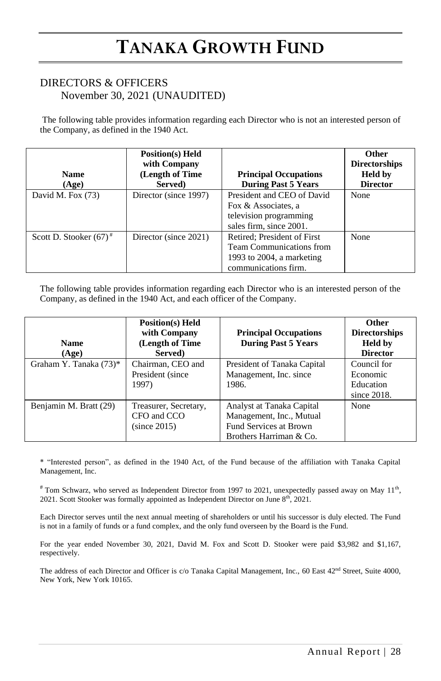### DIRECTORS & OFFICERS November 30, 2021 (UNAUDITED)

The following table provides information regarding each Director who is not an interested person of the Company, as defined in the 1940 Act.

| <b>Name</b><br>(Age)      | <b>Position(s)</b> Held<br>with Company<br>(Length of Time<br>Served) | <b>Principal Occupations</b><br><b>During Past 5 Years</b>                                                          | <b>Other</b><br><b>Directorships</b><br><b>Held by</b><br><b>Director</b> |
|---------------------------|-----------------------------------------------------------------------|---------------------------------------------------------------------------------------------------------------------|---------------------------------------------------------------------------|
| David M. Fox (73)         | Director (since 1997)                                                 | President and CEO of David<br>Fox & Associates, a<br>television programming<br>sales firm, since 2001.              | None                                                                      |
| Scott D. Stooker $(67)^*$ | Director (since 2021)                                                 | Retired: President of First<br><b>Team Communications from</b><br>1993 to 2004, a marketing<br>communications firm. | None                                                                      |

The following table provides information regarding each Director who is an interested person of the Company, as defined in the 1940 Act, and each officer of the Company.

| <b>Name</b><br>(Age)   | Position(s) Held<br>with Company<br>(Length of Time<br>Served) | <b>Principal Occupations</b><br><b>During Past 5 Years</b>                                                        | <b>Other</b><br><b>Directorships</b><br><b>Held by</b><br><b>Director</b> |
|------------------------|----------------------------------------------------------------|-------------------------------------------------------------------------------------------------------------------|---------------------------------------------------------------------------|
| Graham Y. Tanaka (73)* | Chairman, CEO and<br>President (since<br>1997)                 | President of Tanaka Capital<br>Management, Inc. since<br>1986.                                                    | Council for<br>Economic<br>Education<br>since $2018$ .                    |
| Benjamin M. Bratt (29) | Treasurer, Secretary,<br>CFO and CCO<br>(since 2015)           | Analyst at Tanaka Capital<br>Management, Inc., Mutual<br><b>Fund Services at Brown</b><br>Brothers Harriman & Co. | None                                                                      |

\* "Interested person", as defined in the 1940 Act, of the Fund because of the affiliation with Tanaka Capital Management, Inc.

 $*$  Tom Schwarz, who served as Independent Director from 1997 to 2021, unexpectedly passed away on May 11<sup>th</sup>, 2021. Scott Stooker was formally appointed as Independent Director on June 8<sup>th</sup>, 2021.

Each Director serves until the next annual meeting of shareholders or until his successor is duly elected. The Fund is not in a family of funds or a fund complex, and the only fund overseen by the Board is the Fund.

For the year ended November 30, 2021, David M. Fox and Scott D. Stooker were paid \$3,982 and \$1,167, respectively.

The address of each Director and Officer is c/o Tanaka Capital Management, Inc., 60 East 42<sup>nd</sup> Street, Suite 4000, New York, New York 10165.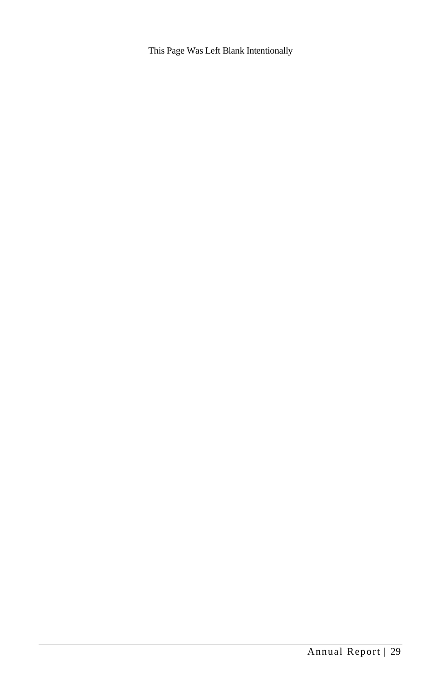This Page Was Left Blank Intentionally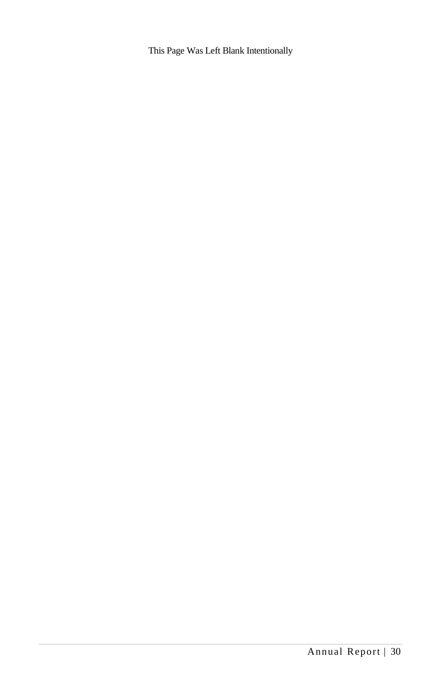This Page Was Left Blank Intentionally